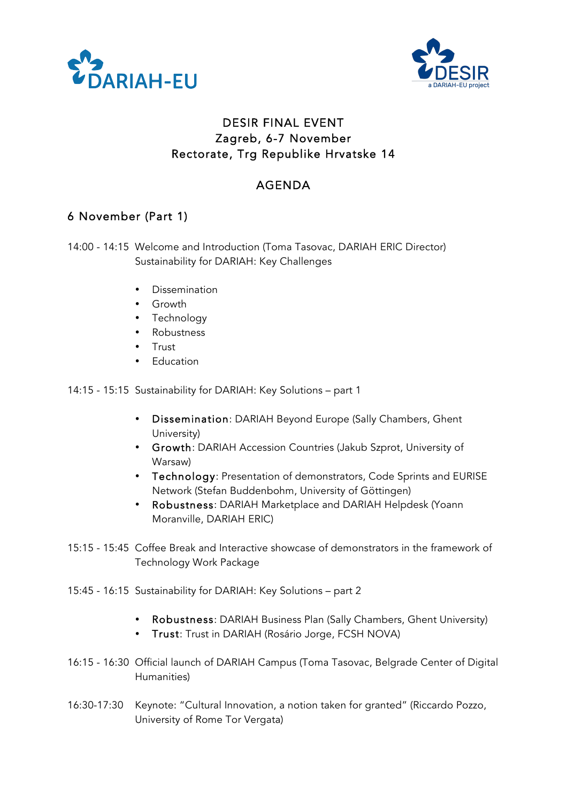



## DESIR FINAL EVENT Zagreb, 6-7 November Rectorate, Trg Republike Hrvatske 14

## AGENDA

## 6 November (Part 1)

14:00 - 14:15 Welcome and Introduction (Toma Tasovac, DARIAH ERIC Director) Sustainability for DARIAH: Key Challenges

- Dissemination
- Growth
- Technology
- Robustness
- Trust
- Education

14:15 - 15:15 Sustainability for DARIAH: Key Solutions – part 1

- Dissemination: DARIAH Beyond Europe (Sally Chambers, Ghent University)
- Growth: DARIAH Accession Countries (Jakub Szprot, University of Warsaw)
- Technology: Presentation of demonstrators, Code Sprints and EURISE Network (Stefan Buddenbohm, University of Göttingen)
- Robustness: DARIAH Marketplace and DARIAH Helpdesk (Yoann Moranville, DARIAH ERIC)
- 15:15 15:45 Coffee Break and Interactive showcase of demonstrators in the framework of Technology Work Package
- 15:45 16:15 Sustainability for DARIAH: Key Solutions part 2
	- Robustness: DARIAH Business Plan (Sally Chambers, Ghent University)
	- Trust: Trust in DARIAH (Rosário Jorge, FCSH NOVA)
- 16:15 16:30 Official launch of DARIAH Campus (Toma Tasovac, Belgrade Center of Digital Humanities)
- 16:30-17:30 Keynote: "Cultural Innovation, a notion taken for granted" (Riccardo Pozzo, University of Rome Tor Vergata)